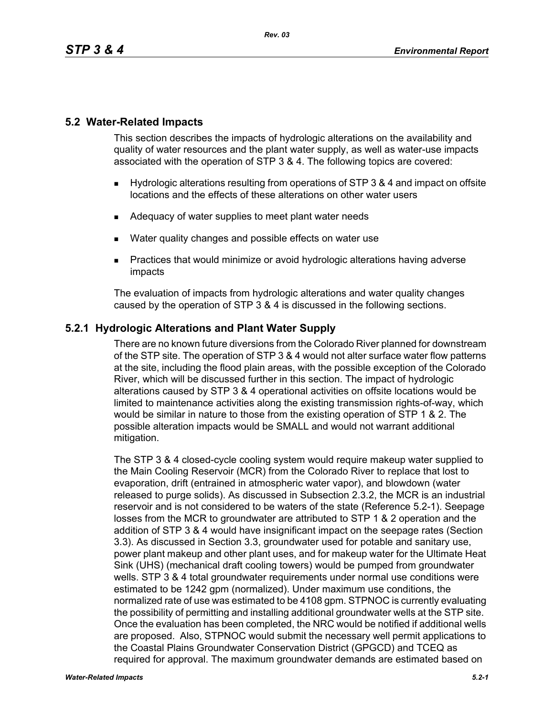# **5.2 Water-Related Impacts**

This section describes the impacts of hydrologic alterations on the availability and quality of water resources and the plant water supply, as well as water-use impacts associated with the operation of STP 3 & 4. The following topics are covered:

- Hydrologic alterations resulting from operations of STP 3 & 4 and impact on offsite locations and the effects of these alterations on other water users
- Adequacy of water supplies to meet plant water needs
- **Nater quality changes and possible effects on water use**
- Practices that would minimize or avoid hydrologic alterations having adverse impacts

The evaluation of impacts from hydrologic alterations and water quality changes caused by the operation of STP 3 & 4 is discussed in the following sections.

# **5.2.1 Hydrologic Alterations and Plant Water Supply**

There are no known future diversions from the Colorado River planned for downstream of the STP site. The operation of STP 3 & 4 would not alter surface water flow patterns at the site, including the flood plain areas, with the possible exception of the Colorado River, which will be discussed further in this section. The impact of hydrologic alterations caused by STP 3 & 4 operational activities on offsite locations would be limited to maintenance activities along the existing transmission rights-of-way, which would be similar in nature to those from the existing operation of STP 1 & 2. The possible alteration impacts would be SMALL and would not warrant additional mitigation.

The STP 3 & 4 closed-cycle cooling system would require makeup water supplied to the Main Cooling Reservoir (MCR) from the Colorado River to replace that lost to evaporation, drift (entrained in atmospheric water vapor), and blowdown (water released to purge solids). As discussed in Subsection 2.3.2, the MCR is an industrial reservoir and is not considered to be waters of the state (Reference 5.2-1). Seepage losses from the MCR to groundwater are attributed to STP 1 & 2 operation and the addition of STP 3 & 4 would have insignificant impact on the seepage rates (Section 3.3). As discussed in Section 3.3, groundwater used for potable and sanitary use, power plant makeup and other plant uses, and for makeup water for the Ultimate Heat Sink (UHS) (mechanical draft cooling towers) would be pumped from groundwater wells. STP 3 & 4 total groundwater requirements under normal use conditions were estimated to be 1242 gpm (normalized). Under maximum use conditions, the normalized rate of use was estimated to be 4108 gpm. STPNOC is currently evaluating the possibility of permitting and installing additional groundwater wells at the STP site. Once the evaluation has been completed, the NRC would be notified if additional wells are proposed. Also, STPNOC would submit the necessary well permit applications to the Coastal Plains Groundwater Conservation District (GPGCD) and TCEQ as required for approval. The maximum groundwater demands are estimated based on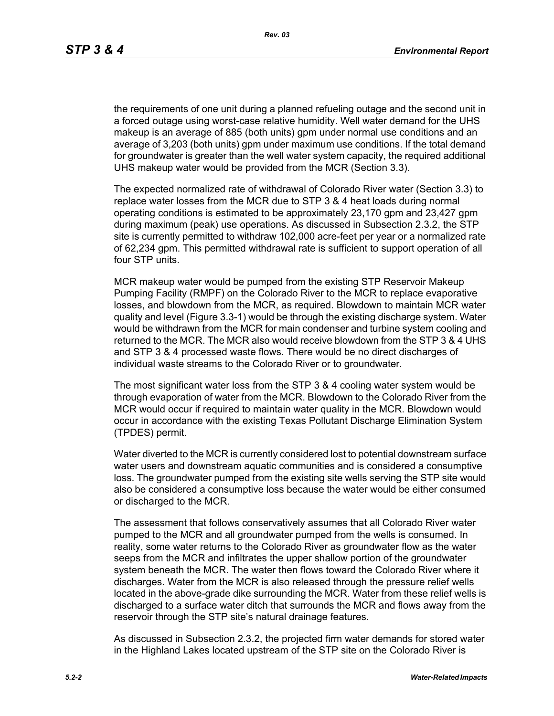the requirements of one unit during a planned refueling outage and the second unit in a forced outage using worst-case relative humidity. Well water demand for the UHS makeup is an average of 885 (both units) gpm under normal use conditions and an average of 3,203 (both units) gpm under maximum use conditions. If the total demand for groundwater is greater than the well water system capacity, the required additional UHS makeup water would be provided from the MCR (Section 3.3).

The expected normalized rate of withdrawal of Colorado River water (Section 3.3) to replace water losses from the MCR due to STP 3 & 4 heat loads during normal operating conditions is estimated to be approximately 23,170 gpm and 23,427 gpm during maximum (peak) use operations. As discussed in Subsection 2.3.2, the STP site is currently permitted to withdraw 102,000 acre-feet per year or a normalized rate of 62,234 gpm. This permitted withdrawal rate is sufficient to support operation of all four STP units.

MCR makeup water would be pumped from the existing STP Reservoir Makeup Pumping Facility (RMPF) on the Colorado River to the MCR to replace evaporative losses, and blowdown from the MCR, as required. Blowdown to maintain MCR water quality and level (Figure 3.3-1) would be through the existing discharge system. Water would be withdrawn from the MCR for main condenser and turbine system cooling and returned to the MCR. The MCR also would receive blowdown from the STP 3 & 4 UHS and STP 3 & 4 processed waste flows. There would be no direct discharges of individual waste streams to the Colorado River or to groundwater*.*

The most significant water loss from the STP 3 & 4 cooling water system would be through evaporation of water from the MCR. Blowdown to the Colorado River from the MCR would occur if required to maintain water quality in the MCR. Blowdown would occur in accordance with the existing Texas Pollutant Discharge Elimination System (TPDES) permit.

Water diverted to the MCR is currently considered lost to potential downstream surface water users and downstream aquatic communities and is considered a consumptive loss. The groundwater pumped from the existing site wells serving the STP site would also be considered a consumptive loss because the water would be either consumed or discharged to the MCR.

The assessment that follows conservatively assumes that all Colorado River water pumped to the MCR and all groundwater pumped from the wells is consumed. In reality, some water returns to the Colorado River as groundwater flow as the water seeps from the MCR and infiltrates the upper shallow portion of the groundwater system beneath the MCR. The water then flows toward the Colorado River where it discharges. Water from the MCR is also released through the pressure relief wells located in the above-grade dike surrounding the MCR. Water from these relief wells is discharged to a surface water ditch that surrounds the MCR and flows away from the reservoir through the STP site's natural drainage features.

As discussed in Subsection 2.3.2, the projected firm water demands for stored water in the Highland Lakes located upstream of the STP site on the Colorado River is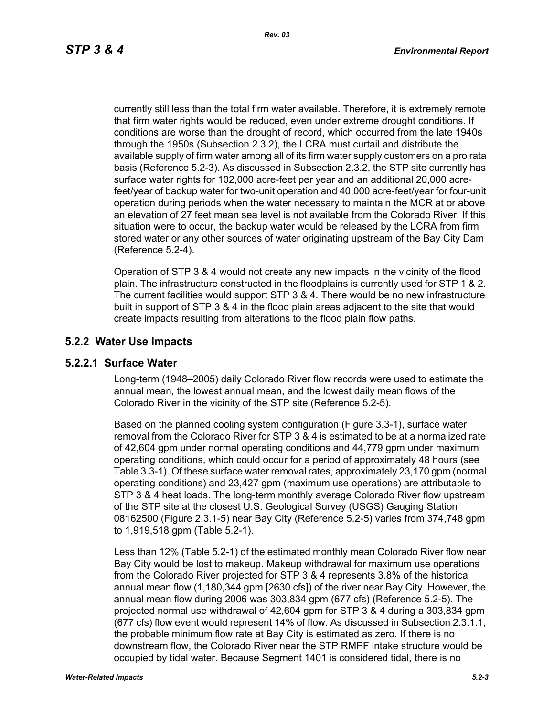currently still less than the total firm water available. Therefore, it is extremely remote that firm water rights would be reduced, even under extreme drought conditions. If conditions are worse than the drought of record, which occurred from the late 1940s through the 1950s (Subsection 2.3.2), the LCRA must curtail and distribute the available supply of firm water among all of its firm water supply customers on a pro rata basis (Reference 5.2-3). As discussed in Subsection 2.3.2, the STP site currently has surface water rights for 102,000 acre-feet per year and an additional 20,000 acrefeet/year of backup water for two-unit operation and 40,000 acre-feet/year for four-unit operation during periods when the water necessary to maintain the MCR at or above an elevation of 27 feet mean sea level is not available from the Colorado River. If this situation were to occur, the backup water would be released by the LCRA from firm stored water or any other sources of water originating upstream of the Bay City Dam (Reference 5.2-4).

Operation of STP 3 & 4 would not create any new impacts in the vicinity of the flood plain. The infrastructure constructed in the floodplains is currently used for STP 1 & 2. The current facilities would support STP 3 & 4. There would be no new infrastructure built in support of STP 3 & 4 in the flood plain areas adjacent to the site that would create impacts resulting from alterations to the flood plain flow paths.

#### **5.2.2 Water Use Impacts**

#### **5.2.2.1 Surface Water**

Long-term (1948–2005) daily Colorado River flow records were used to estimate the annual mean, the lowest annual mean, and the lowest daily mean flows of the Colorado River in the vicinity of the STP site (Reference 5.2-5).

Based on the planned cooling system configuration (Figure 3.3-1), surface water removal from the Colorado River for STP 3 & 4 is estimated to be at a normalized rate of 42,604 gpm under normal operating conditions and 44,779 gpm under maximum operating conditions, which could occur for a period of approximately 48 hours (see Table 3.3-1). Of these surface water removal rates, approximately 23,170 gpm (normal operating conditions) and 23,427 gpm (maximum use operations) are attributable to STP 3 & 4 heat loads. The long-term monthly average Colorado River flow upstream of the STP site at the closest U.S. Geological Survey (USGS) Gauging Station 08162500 (Figure 2.3.1-5) near Bay City (Reference 5.2-5) varies from 374,748 gpm to 1,919,518 gpm (Table 5.2-1).

Less than 12% (Table 5.2-1) of the estimated monthly mean Colorado River flow near Bay City would be lost to makeup. Makeup withdrawal for maximum use operations from the Colorado River projected for STP 3 & 4 represents 3.8% of the historical annual mean flow (1,180,344 gpm [2630 cfs]) of the river near Bay City. However, the annual mean flow during 2006 was 303,834 gpm (677 cfs) (Reference 5.2-5). The projected normal use withdrawal of 42,604 gpm for STP 3 & 4 during a 303,834 gpm (677 cfs) flow event would represent 14% of flow. As discussed in Subsection 2.3.1.1, the probable minimum flow rate at Bay City is estimated as zero. If there is no downstream flow, the Colorado River near the STP RMPF intake structure would be occupied by tidal water. Because Segment 1401 is considered tidal, there is no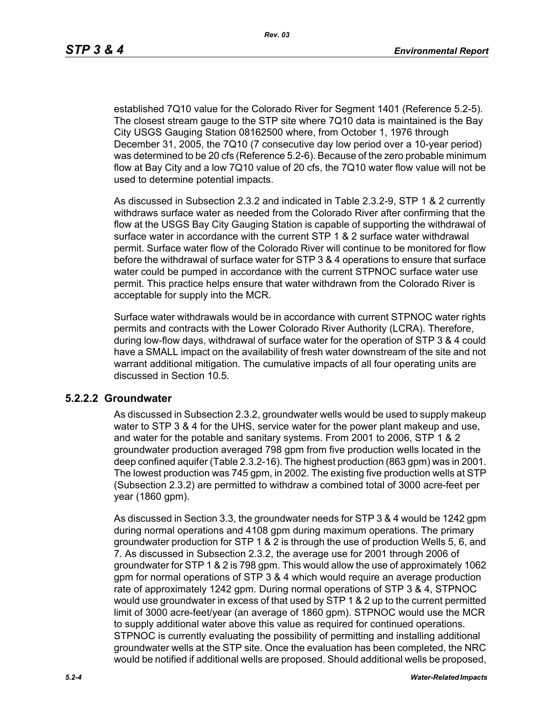established 7Q10 value for the Colorado River for Segment 1401 (Reference 5.2-5). The closest stream gauge to the STP site where 7Q10 data is maintained is the Bay City USGS Gauging Station 08162500 where, from October 1, 1976 through December 31, 2005, the 7Q10 (7 consecutive day low period over a 10-year period) was determined to be 20 cfs (Reference 5.2-6). Because of the zero probable minimum flow at Bay City and a low 7Q10 value of 20 cfs, the 7Q10 water flow value will not be used to determine potential impacts.

As discussed in Subsection 2.3.2 and indicated in Table 2.3.2-9, STP 1 & 2 currently withdraws surface water as needed from the Colorado River after confirming that the flow at the USGS Bay City Gauging Station is capable of supporting the withdrawal of surface water in accordance with the current STP 1 & 2 surface water withdrawal permit. Surface water flow of the Colorado River will continue to be monitored for flow before the withdrawal of surface water for STP 3 & 4 operations to ensure that surface water could be pumped in accordance with the current STPNOC surface water use permit. This practice helps ensure that water withdrawn from the Colorado River is acceptable for supply into the MCR.

Surface water withdrawals would be in accordance with current STPNOC water rights permits and contracts with the Lower Colorado River Authority (LCRA). Therefore, during low-flow days, withdrawal of surface water for the operation of STP 3 & 4 could have a SMALL impact on the availability of fresh water downstream of the site and not warrant additional mitigation. The cumulative impacts of all four operating units are discussed in Section 10.5.

#### **5.2.2.2 Groundwater**

As discussed in Subsection 2.3.2, groundwater wells would be used to supply makeup water to STP 3 & 4 for the UHS, service water for the power plant makeup and use, and water for the potable and sanitary systems. From 2001 to 2006, STP 1 & 2 groundwater production averaged 798 gpm from five production wells located in the deep confined aquifer (Table 2.3.2-16). The highest production (863 gpm) was in 2001. The lowest production was 745 gpm, in 2002. The existing five production wells at STP (Subsection 2.3.2) are permitted to withdraw a combined total of 3000 acre-feet per year (1860 gpm).

As discussed in Section 3.3, the groundwater needs for STP 3 & 4 would be 1242 gpm during normal operations and 4108 gpm during maximum operations. The primary groundwater production for STP 1 & 2 is through the use of production Wells 5, 6, and 7. As discussed in Subsection 2.3.2, the average use for 2001 through 2006 of groundwater for STP 1 & 2 is 798 gpm. This would allow the use of approximately 1062 gpm for normal operations of STP 3 & 4 which would require an average production rate of approximately 1242 gpm. During normal operations of STP 3 & 4, STPNOC would use groundwater in excess of that used by STP 1 & 2 up to the current permitted limit of 3000 acre-feet/year (an average of 1860 gpm). STPNOC would use the MCR to supply additional water above this value as required for continued operations. STPNOC is currently evaluating the possibility of permitting and installing additional groundwater wells at the STP site. Once the evaluation has been completed, the NRC would be notified if additional wells are proposed. Should additional wells be proposed,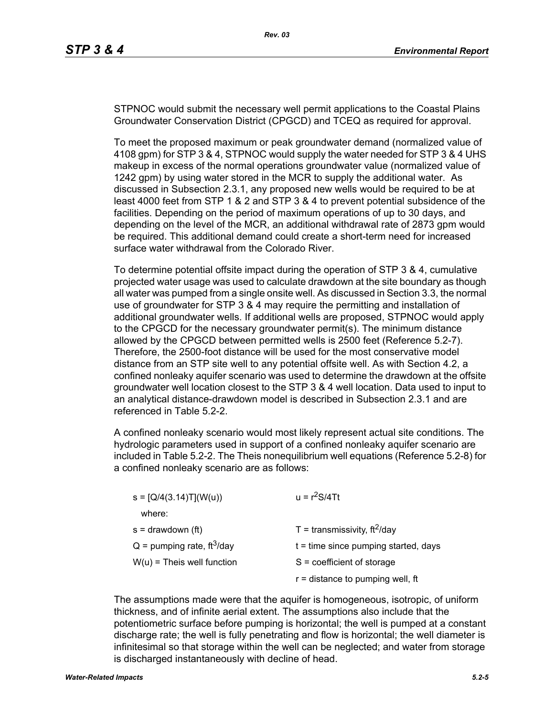STPNOC would submit the necessary well permit applications to the Coastal Plains Groundwater Conservation District (CPGCD) and TCEQ as required for approval.

To meet the proposed maximum or peak groundwater demand (normalized value of 4108 gpm) for STP 3 & 4, STPNOC would supply the water needed for STP 3 & 4 UHS makeup in excess of the normal operations groundwater value (normalized value of 1242 gpm) by using water stored in the MCR to supply the additional water. As discussed in Subsection 2.3.1, any proposed new wells would be required to be at least 4000 feet from STP 1 & 2 and STP 3 & 4 to prevent potential subsidence of the facilities. Depending on the period of maximum operations of up to 30 days, and depending on the level of the MCR, an additional withdrawal rate of 2873 gpm would be required. This additional demand could create a short-term need for increased surface water withdrawal from the Colorado River.

To determine potential offsite impact during the operation of STP 3 & 4, cumulative projected water usage was used to calculate drawdown at the site boundary as though all water was pumped from a single onsite well. As discussed in Section 3.3, the normal use of groundwater for STP 3 & 4 may require the permitting and installation of additional groundwater wells. If additional wells are proposed, STPNOC would apply to the CPGCD for the necessary groundwater permit(s). The minimum distance allowed by the CPGCD between permitted wells is 2500 feet (Reference 5.2-7). Therefore, the 2500-foot distance will be used for the most conservative model distance from an STP site well to any potential offsite well. As with Section 4.2, a confined nonleaky aquifer scenario was used to determine the drawdown at the offsite groundwater well location closest to the STP 3 & 4 well location. Data used to input to an analytical distance-drawdown model is described in Subsection 2.3.1 and are referenced in Table 5.2-2.

A confined nonleaky scenario would most likely represent actual site conditions. The hydrologic parameters used in support of a confined nonleaky aquifer scenario are included in Table 5.2-2. The Theis nonequilibrium well equations (Reference 5.2-8) for a confined nonleaky scenario are as follows:

| $s = [Q/4(3.14)T](W(u))$                 | $u = r^2S/4Tt$                             |
|------------------------------------------|--------------------------------------------|
| where:                                   |                                            |
| $s =$ drawdown (ft)                      | $T =$ transmissivity, ft <sup>2</sup> /day |
| $Q =$ pumping rate, ft <sup>3</sup> /day | $t =$ time since pumping started, days     |
| $W(u)$ = Theis well function             | $S = coefficient of storage$               |
|                                          | $r =$ distance to pumping well, ft         |

The assumptions made were that the aquifer is homogeneous, isotropic, of uniform thickness, and of infinite aerial extent. The assumptions also include that the potentiometric surface before pumping is horizontal; the well is pumped at a constant discharge rate; the well is fully penetrating and flow is horizontal; the well diameter is infinitesimal so that storage within the well can be neglected; and water from storage is discharged instantaneously with decline of head.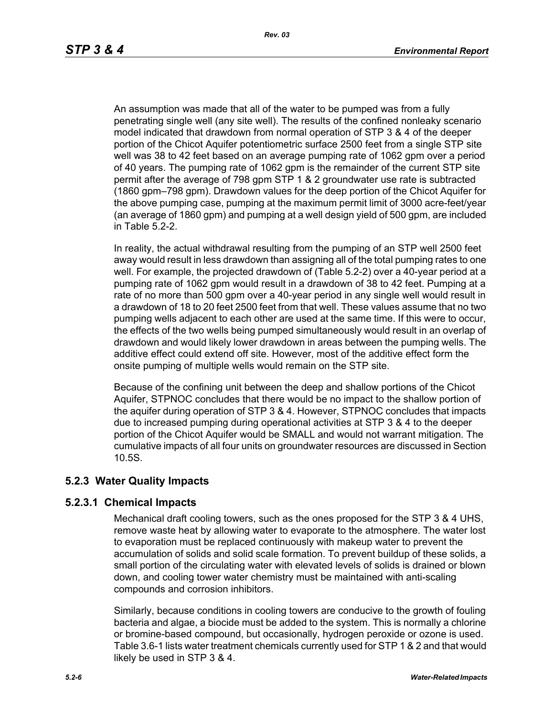An assumption was made that all of the water to be pumped was from a fully penetrating single well (any site well). The results of the confined nonleaky scenario model indicated that drawdown from normal operation of STP 3 & 4 of the deeper portion of the Chicot Aquifer potentiometric surface 2500 feet from a single STP site well was 38 to 42 feet based on an average pumping rate of 1062 gpm over a period of 40 years. The pumping rate of 1062 gpm is the remainder of the current STP site permit after the average of 798 gpm STP 1 & 2 groundwater use rate is subtracted (1860 gpm–798 gpm). Drawdown values for the deep portion of the Chicot Aquifer for the above pumping case, pumping at the maximum permit limit of 3000 acre-feet/year (an average of 1860 gpm) and pumping at a well design yield of 500 gpm, are included in Table 5.2-2.

In reality, the actual withdrawal resulting from the pumping of an STP well 2500 feet away would result in less drawdown than assigning all of the total pumping rates to one well. For example, the projected drawdown of (Table 5.2-2) over a 40-year period at a pumping rate of 1062 gpm would result in a drawdown of 38 to 42 feet. Pumping at a rate of no more than 500 gpm over a 40-year period in any single well would result in a drawdown of 18 to 20 feet 2500 feet from that well. These values assume that no two pumping wells adjacent to each other are used at the same time. If this were to occur, the effects of the two wells being pumped simultaneously would result in an overlap of drawdown and would likely lower drawdown in areas between the pumping wells. The additive effect could extend off site. However, most of the additive effect form the onsite pumping of multiple wells would remain on the STP site.

Because of the confining unit between the deep and shallow portions of the Chicot Aquifer, STPNOC concludes that there would be no impact to the shallow portion of the aquifer during operation of STP 3 & 4. However, STPNOC concludes that impacts due to increased pumping during operational activities at STP 3 & 4 to the deeper portion of the Chicot Aquifer would be SMALL and would not warrant mitigation. The cumulative impacts of all four units on groundwater resources are discussed in Section 10.5S.

# **5.2.3 Water Quality Impacts**

# **5.2.3.1 Chemical Impacts**

Mechanical draft cooling towers, such as the ones proposed for the STP 3 & 4 UHS, remove waste heat by allowing water to evaporate to the atmosphere. The water lost to evaporation must be replaced continuously with makeup water to prevent the accumulation of solids and solid scale formation. To prevent buildup of these solids, a small portion of the circulating water with elevated levels of solids is drained or blown down, and cooling tower water chemistry must be maintained with anti-scaling compounds and corrosion inhibitors.

Similarly, because conditions in cooling towers are conducive to the growth of fouling bacteria and algae, a biocide must be added to the system. This is normally a chlorine or bromine-based compound, but occasionally, hydrogen peroxide or ozone is used. Table 3.6-1 lists water treatment chemicals currently used for STP 1 & 2 and that would likely be used in STP 3 & 4.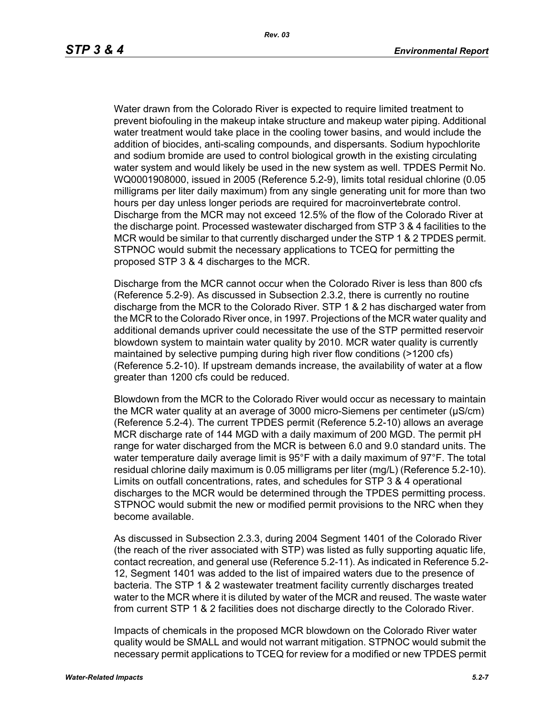Water drawn from the Colorado River is expected to require limited treatment to prevent biofouling in the makeup intake structure and makeup water piping. Additional water treatment would take place in the cooling tower basins, and would include the addition of biocides, anti-scaling compounds, and dispersants. Sodium hypochlorite and sodium bromide are used to control biological growth in the existing circulating water system and would likely be used in the new system as well. TPDES Permit No. WQ0001908000, issued in 2005 (Reference 5.2-9), limits total residual chlorine (0.05 milligrams per liter daily maximum) from any single generating unit for more than two hours per day unless longer periods are required for macroinvertebrate control. Discharge from the MCR may not exceed 12.5% of the flow of the Colorado River at the discharge point. Processed wastewater discharged from STP 3 & 4 facilities to the MCR would be similar to that currently discharged under the STP 1 & 2 TPDES permit. STPNOC would submit the necessary applications to TCEQ for permitting the proposed STP 3 & 4 discharges to the MCR.

Discharge from the MCR cannot occur when the Colorado River is less than 800 cfs (Reference 5.2-9). As discussed in Subsection 2.3.2, there is currently no routine discharge from the MCR to the Colorado River. STP 1 & 2 has discharged water from the MCR to the Colorado River once, in 1997. Projections of the MCR water quality and additional demands upriver could necessitate the use of the STP permitted reservoir blowdown system to maintain water quality by 2010. MCR water quality is currently maintained by selective pumping during high river flow conditions (>1200 cfs) (Reference 5.2-10). If upstream demands increase, the availability of water at a flow greater than 1200 cfs could be reduced.

Blowdown from the MCR to the Colorado River would occur as necessary to maintain the MCR water quality at an average of 3000 micro-Siemens per centimeter (µS/cm) (Reference 5.2-4). The current TPDES permit (Reference 5.2-10) allows an average MCR discharge rate of 144 MGD with a daily maximum of 200 MGD. The permit pH range for water discharged from the MCR is between 6.0 and 9.0 standard units. The water temperature daily average limit is 95°F with a daily maximum of 97°F. The total residual chlorine daily maximum is 0.05 milligrams per liter (mg/L) (Reference 5.2-10). Limits on outfall concentrations, rates, and schedules for STP 3 & 4 operational discharges to the MCR would be determined through the TPDES permitting process. STPNOC would submit the new or modified permit provisions to the NRC when they become available.

As discussed in Subsection 2.3.3, during 2004 Segment 1401 of the Colorado River (the reach of the river associated with STP) was listed as fully supporting aquatic life, contact recreation, and general use (Reference 5.2-11). As indicated in Reference 5.2- 12, Segment 1401 was added to the list of impaired waters due to the presence of bacteria. The STP 1 & 2 wastewater treatment facility currently discharges treated water to the MCR where it is diluted by water of the MCR and reused. The waste water from current STP 1 & 2 facilities does not discharge directly to the Colorado River.

Impacts of chemicals in the proposed MCR blowdown on the Colorado River water quality would be SMALL and would not warrant mitigation. STPNOC would submit the necessary permit applications to TCEQ for review for a modified or new TPDES permit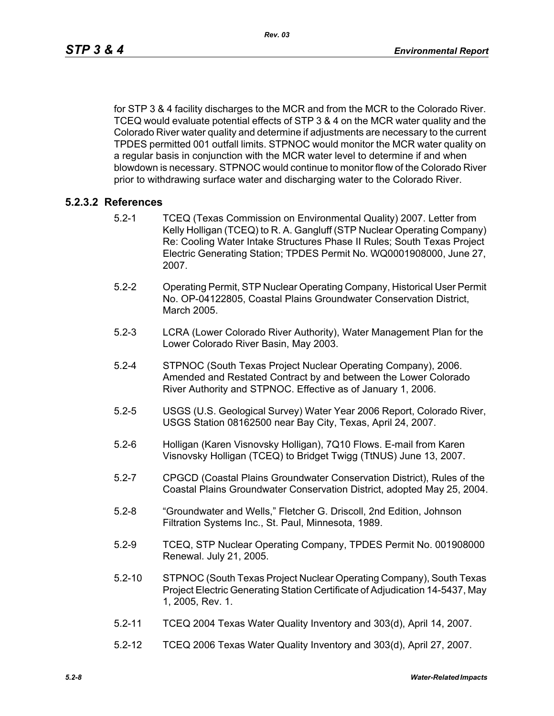for STP 3 & 4 facility discharges to the MCR and from the MCR to the Colorado River. TCEQ would evaluate potential effects of STP 3 & 4 on the MCR water quality and the Colorado River water quality and determine if adjustments are necessary to the current TPDES permitted 001 outfall limits. STPNOC would monitor the MCR water quality on a regular basis in conjunction with the MCR water level to determine if and when blowdown is necessary. STPNOC would continue to monitor flow of the Colorado River prior to withdrawing surface water and discharging water to the Colorado River.

#### **5.2.3.2 References**

- 5.2-1 TCEQ (Texas Commission on Environmental Quality) 2007. Letter from Kelly Holligan (TCEQ) to R. A. Gangluff (STP Nuclear Operating Company) Re: Cooling Water Intake Structures Phase II Rules; South Texas Project Electric Generating Station; TPDES Permit No. WQ0001908000, June 27, 2007.
- 5.2-2 Operating Permit, STP Nuclear Operating Company, Historical User Permit No. OP-04122805, Coastal Plains Groundwater Conservation District, March 2005.
- 5.2-3 LCRA (Lower Colorado River Authority), Water Management Plan for the Lower Colorado River Basin, May 2003.
- 5.2-4 STPNOC (South Texas Project Nuclear Operating Company), 2006. Amended and Restated Contract by and between the Lower Colorado River Authority and STPNOC. Effective as of January 1, 2006.
- 5.2-5 USGS (U.S. Geological Survey) Water Year 2006 Report, Colorado River, USGS Station 08162500 near Bay City, Texas, April 24, 2007.
- 5.2-6 Holligan (Karen Visnovsky Holligan), 7Q10 Flows. E-mail from Karen Visnovsky Holligan (TCEQ) to Bridget Twigg (TtNUS) June 13, 2007.
- 5.2-7 CPGCD (Coastal Plains Groundwater Conservation District), Rules of the Coastal Plains Groundwater Conservation District, adopted May 25, 2004.
- 5.2-8 "Groundwater and Wells," Fletcher G. Driscoll, 2nd Edition, Johnson Filtration Systems Inc., St. Paul, Minnesota, 1989.
- 5.2-9 TCEQ, STP Nuclear Operating Company, TPDES Permit No. 001908000 Renewal. July 21, 2005.
- 5.2-10 STPNOC (South Texas Project Nuclear Operating Company), South Texas Project Electric Generating Station Certificate of Adjudication 14-5437, May 1, 2005, Rev. 1.
- 5.2-11 TCEQ 2004 Texas Water Quality Inventory and 303(d), April 14, 2007.
- 5.2-12 TCEQ 2006 Texas Water Quality Inventory and 303(d), April 27, 2007.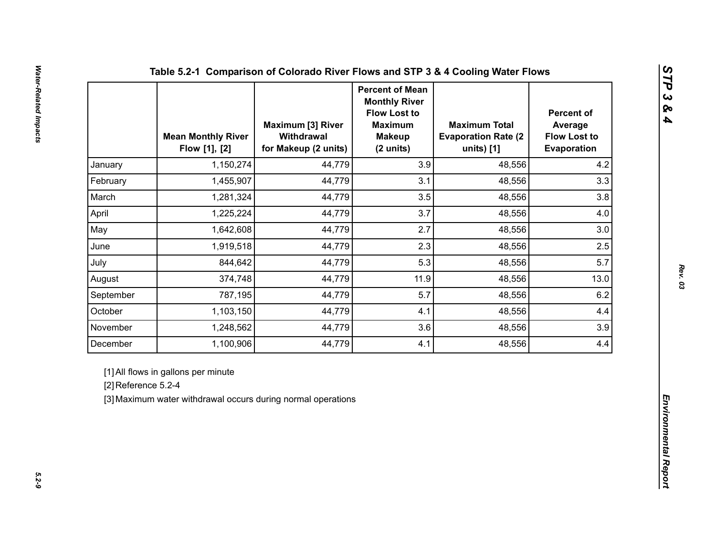|                     | <b>Mean Monthly River</b><br>Flow [1], [2]                                                          | <b>Maximum [3] River</b><br>Withdrawal<br>for Makeup (2 units) | <b>Percent of Mean</b><br><b>Monthly River</b><br><b>Flow Lost to</b><br><b>Maximum</b><br><b>Makeup</b><br>(2 units) | <b>Maximum Total</b><br><b>Evaporation Rate (2)</b><br>units) [1] | <b>Percent of</b><br>Average<br><b>Flow Lost to</b><br>Evaporation |
|---------------------|-----------------------------------------------------------------------------------------------------|----------------------------------------------------------------|-----------------------------------------------------------------------------------------------------------------------|-------------------------------------------------------------------|--------------------------------------------------------------------|
| January             | 1,150,274                                                                                           | 44,779                                                         | 3.9                                                                                                                   | 48,556                                                            | 4.2                                                                |
| February            | 1,455,907                                                                                           | 44,779                                                         | 3.1                                                                                                                   | 48,556                                                            | 3.3                                                                |
| March               | 1,281,324                                                                                           | 44,779                                                         | 3.5                                                                                                                   | 48,556                                                            | 3.8                                                                |
| April               | 1,225,224                                                                                           | 44,779                                                         | 3.7                                                                                                                   | 48,556                                                            | 4.0                                                                |
| May                 | 1,642,608                                                                                           | 44,779                                                         | 2.7                                                                                                                   | 48,556                                                            | 3.0                                                                |
| June                | 1,919,518                                                                                           | 44,779                                                         | 2.3                                                                                                                   | 48,556                                                            | 2.5                                                                |
| July                | 844,642                                                                                             | 44,779                                                         | 5.3                                                                                                                   | 48,556                                                            | 5.7                                                                |
| August              | 374,748                                                                                             | 44,779                                                         | 11.9                                                                                                                  | 48,556                                                            | 13.0                                                               |
| September           | 787,195                                                                                             | 44,779                                                         | 5.7                                                                                                                   | 48,556                                                            | 6.2                                                                |
| October             | 1,103,150                                                                                           | 44,779                                                         | 4.1                                                                                                                   | 48,556                                                            | 4.4                                                                |
| November            | 1,248,562                                                                                           | 44,779                                                         | 3.6                                                                                                                   | 48,556                                                            | 3.9                                                                |
| December            | 1,100,906                                                                                           | 44,779                                                         | 4.1                                                                                                                   | 48,556                                                            | 4.4                                                                |
| [2] Reference 5.2-4 | [1] All flows in gallons per minute<br>[3] Maximum water withdrawal occurs during normal operations |                                                                |                                                                                                                       |                                                                   |                                                                    |

*STP 3 & 4*